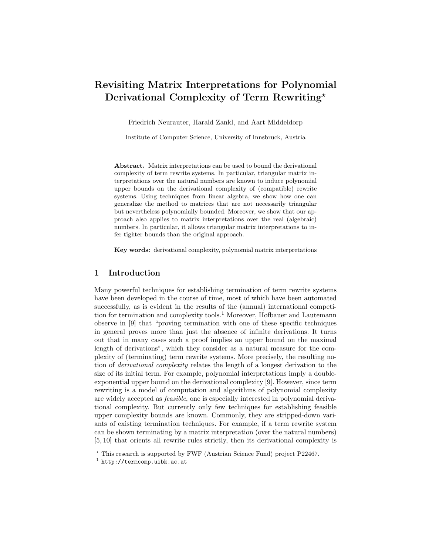# Revisiting Matrix Interpretations for Polynomial Derivational Complexity of Term Rewriting\*

Friedrich Neurauter, Harald Zankl, and Aart Middeldorp

Institute of Computer Science, University of Innsbruck, Austria

Abstract. Matrix interpretations can be used to bound the derivational complexity of term rewrite systems. In particular, triangular matrix interpretations over the natural numbers are known to induce polynomial upper bounds on the derivational complexity of (compatible) rewrite systems. Using techniques from linear algebra, we show how one can generalize the method to matrices that are not necessarily triangular but nevertheless polynomially bounded. Moreover, we show that our approach also applies to matrix interpretations over the real (algebraic) numbers. In particular, it allows triangular matrix interpretations to infer tighter bounds than the original approach.

Key words: derivational complexity, polynomial matrix interpretations

# 1 Introduction

Many powerful techniques for establishing termination of term rewrite systems have been developed in the course of time, most of which have been automated successfully, as is evident in the results of the (annual) international competi-tion for termination and complexity tools.<sup>[1](#page-0-0)</sup> Moreover, Hofbauer and Lautemann observe in [9] that "proving termination with one of these specific techniques in general proves more than just the absence of infinite derivations. It turns out that in many cases such a proof implies an upper bound on the maximal length of derivations", which they consider as a natural measure for the complexity of (terminating) term rewrite systems. More precisely, the resulting notion of derivational complexity relates the length of a longest derivation to the size of its initial term. For example, polynomial interpretations imply a doubleexponential upper bound on the derivational complexity [9]. However, since term rewriting is a model of computation and algorithms of polynomial complexity are widely accepted as feasible, one is especially interested in polynomial derivational complexity. But currently only few techniques for establishing feasible upper complexity bounds are known. Commonly, they are stripped-down variants of existing termination techniques. For example, if a term rewrite system can be shown terminating by a matrix interpretation (over the natural numbers) [5, 10] that orients all rewrite rules strictly, then its derivational complexity is

<sup>?</sup> This research is supported by FWF (Austrian Science Fund) project P22467.

<span id="page-0-0"></span><sup>1</sup> <http://termcomp.uibk.ac.at>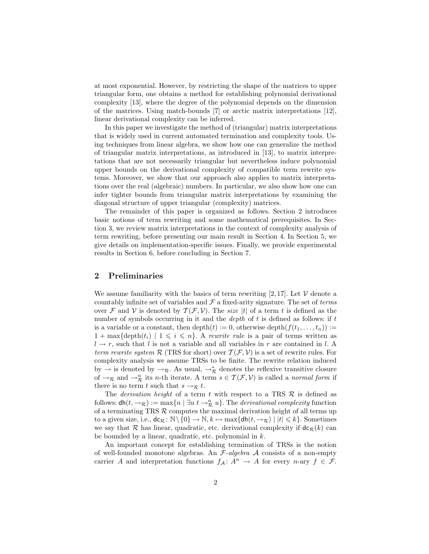at most exponential. However, by restricting the shape of the matrices to upper triangular form, one obtains a method for establishing polynomial derivational complexity [13], where the degree of the polynomial depends on the dimension of the matrices. Using match-bounds [7] or arctic matrix interpretations [12], linear derivational complexity can be inferred.

In this paper we investigate the method of (triangular) matrix interpretations that is widely used in current automated termination and complexity tools. Using techniques from linear algebra, we show how one can generalize the method of triangular matrix interpretations, as introduced in [13], to matrix interpretations that are not necessarily triangular but nevertheless induce polynomial upper bounds on the derivational complexity of compatible term rewrite systems. Moreover, we show that our approach also applies to matrix interpretations over the real (algebraic) numbers. In particular, we also show how one can infer tighter bounds from triangular matrix interpretations by examining the diagonal structure of upper triangular (complexity) matrices.

The remainder of this paper is organized as follows. Section [2](#page-1-0) introduces basic notions of term rewriting and some mathematical prerequisites. In Section [3,](#page-3-0) we review matrix interpretations in the context of complexity analysis of term rewriting, before presenting our main result in Section [4.](#page-6-0) In Section [5,](#page-9-0) we give details on implementation-specific issues. Finally, we provide experimental results in Section [6,](#page-12-0) before concluding in Section [7.](#page-13-0)

## <span id="page-1-0"></span>2 Preliminaries

We assume familiarity with the basics of term rewriting [2, 17]. Let  $\mathcal V$  denote a countably infinite set of variables and  $\mathcal F$  a fixed-arity signature. The set of *terms* over F and V is denoted by  $\mathcal{T}(\mathcal{F}, \mathcal{V})$ . The size |t| of a term t is defined as the number of symbols occurring in it and the *depth* of  $t$  is defined as follows: if  $t$ is a variable or a constant, then depth $(t) := 0$ , otherwise depth $(f(t_1, \ldots, t_n)) :=$  $1 + \max\{\text{depth}(t_i) \mid 1 \leq i \leq n\}.$  A rewrite rule is a pair of terms written as  $l \rightarrow r$ , such that l is not a variable and all variables in r are contained in l. A term rewrite system R (TRS for short) over  $\mathcal{T}(\mathcal{F}, \mathcal{V})$  is a set of rewrite rules. For complexity analysis we assume TRSs to be finite. The rewrite relation induced by  $\rightarrow$  is denoted by  $\rightarrow_{\mathcal{R}}$ . As usual,  $\rightarrow_{\mathcal{R}}^*$  denotes the reflexive transitive closure of  $\rightarrow_{\mathcal{R}}$  and  $\rightarrow_{\mathcal{R}}^n$  its *n*-th iterate. A term  $s \in \mathcal{T}(\mathcal{F}, \mathcal{V})$  is called a *normal form* if there is no term t such that  $s \rightarrow_{\mathcal{R}} t$ .

The *derivation height* of a term t with respect to a TRS  $\mathcal{R}$  is defined as follows:  $\mathsf{dh}(t, \to_{\mathcal{R}}) := \max\{n \mid \exists u \; t \to_{\mathcal{R}}^n u\}.$  The *derivational complexity* function of a terminating TRS  $R$  computes the maximal derivation height of all terms up to a given size, i.e.,  $dc_R : \mathbb{N} \setminus \{0\} \to \mathbb{N}, k \mapsto \max\{dh(t, \to_R) \mid |t| \leq k\}.$  Sometimes we say that R has linear, quadratic, etc. derivational complexity if  $d\mathbf{c}_R(k)$  can be bounded by a linear, quadratic, etc. polynomial in  $k$ .

An important concept for establishing termination of TRSs is the notion of well-founded monotone algebras. An  $\mathcal{F}\text{-}algebra$  A consists of a non-empty carrier A and interpretation functions  $f_A: A^n \to A$  for every n-ary  $f \in \mathcal{F}$ .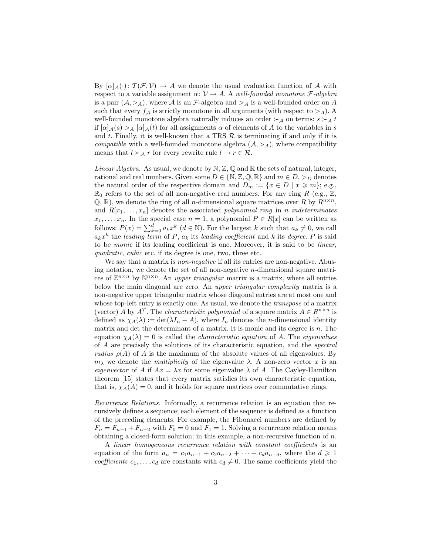By  $[\alpha]_{\mathcal{A}}(\cdot): \mathcal{T}(\mathcal{F}, \mathcal{V}) \to A$  we denote the usual evaluation function of A with respect to a variable assignment  $\alpha: \mathcal{V} \to A$ . A well-founded monotone F-algebra is a pair  $(A, >_A)$ , where A is an F-algebra and  $>_A$  is a well-founded order on A such that every  $f_A$  is strictly monotone in all arguments (with respect to  $\geq_A$ ). A well-founded monotone algebra naturally induces an order  $\succ_{\mathcal{A}}$  on terms:  $s \succ_{\mathcal{A}} t$ if  $[\alpha]_A(s) >_A [\alpha]_A(t)$  for all assignments  $\alpha$  of elements of A to the variables in s and t. Finally, it is well-known that a TRS  $R$  is terminating if and only if it is *compatible* with a well-founded monotone algebra  $(A, >_A)$ , where compatibility means that  $l \succ_{\mathcal{A}} r$  for every rewrite rule  $l \to r \in \mathcal{R}$ .

*Linear Algebra.* As usual, we denote by  $\mathbb{N}, \mathbb{Z}, \mathbb{Q}$  and  $\mathbb{R}$  the sets of natural, integer, rational and real numbers. Given some  $D \in \{N, \mathbb{Z}, \mathbb{Q}, \mathbb{R}\}\$  and  $m \in D$ ,  $>_{D}$  denotes the natural order of the respective domain and  $D_m := \{x \in D \mid x \geq m\};$  e.g.,  $\mathbb{R}_0$  refers to the set of all non-negative real numbers. For any ring R (e.g., Z,  $\mathbb{Q}, \mathbb{R}$ , we denote the ring of all *n*-dimensional square matrices over R by  $R^{n \times n}$ , and  $R[x_1, \ldots, x_n]$  denotes the associated polynomial ring in n indeterminates  $x_1, \ldots, x_n$ . In the special case  $n = 1$ , a polynomial  $P \in R[x]$  can be written as follows:  $P(x) = \sum_{k=0}^{d} a_k x^k \ (d \in \mathbb{N})$ . For the largest k such that  $a_k \neq 0$ , we call  $a_k x^k$  the leading term of P,  $a_k$  its leading coefficient and k its degree. P is said to be monic if its leading coefficient is one. Moreover, it is said to be linear, quadratic, cubic etc. if its degree is one, two, three etc.

We say that a matrix is *non-negative* if all its entries are non-negative. Abusing notation, we denote the set of all non-negative n-dimensional square matrices of  $\mathbb{Z}^{n \times n}$  by  $\mathbb{N}^{n \times n}$ . An *upper triangular* matrix is a matrix, where all entries below the main diagonal are zero. An upper triangular complexity matrix is a non-negative upper triangular matrix whose diagonal entries are at most one and whose top-left entry is exactly one. As usual, we denote the transpose of a matrix (vector) A by  $A<sup>T</sup>$ . The *characteristic polynomial* of a square matrix  $A \in R^{n \times n}$  is defined as  $\chi_A(\lambda) := \det(\lambda I_n - A)$ , where  $I_n$  denotes the *n*-dimensional identity matrix and det the determinant of a matrix. It is monic and its degree is  $n$ . The equation  $\chi_A(\lambda) = 0$  is called the *characteristic equation* of A. The *eigenvalues* of A are precisely the solutions of its characteristic equation, and the spectral *radius*  $\rho(A)$  of A is the maximum of the absolute values of all eigenvalues. By  $m<sub>\lambda</sub>$  we denote the *multiplicity* of the eigenvalue  $\lambda$ . A non-zero vector x is an eigenvector of A if  $Ax = \lambda x$  for some eigenvalue  $\lambda$  of A. The Cayley-Hamilton theorem [15] states that every matrix satisfies its own characteristic equation, that is,  $\chi_A(A) = 0$ , and it holds for square matrices over commutative rings.

Recurrence Relations. Informally, a recurrence relation is an equation that recursively defines a sequence; each element of the sequence is defined as a function of the preceding elements. For example, the Fibonacci numbers are defined by  $F_n = F_{n-1} + F_{n-2}$  with  $F_0 = 0$  and  $F_1 = 1$ . Solving a recurrence relation means obtaining a closed-form solution; in this example, a non-recursive function of  $n$ .

A linear homogeneous recurrence relation with constant coefficients is an equation of the form  $a_n = c_1 a_{n-1} + c_2 a_{n-2} + \cdots + c_d a_{n-d}$ , where the  $d \geq 1$ coefficients  $c_1, \ldots, c_d$  are constants with  $c_d \neq 0$ . The same coefficients yield the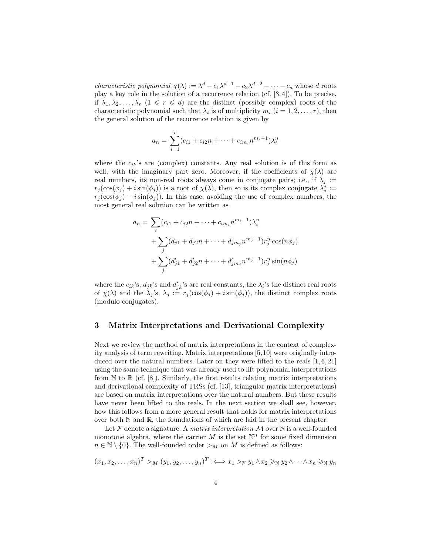*characteristic polynomial*  $\chi(\lambda) := \lambda^d - c_1 \lambda^{d-1} - c_2 \lambda^{d-2} - \cdots - c_d$  whose d roots play a key role in the solution of a recurrence relation (cf. [3, 4]). To be precise, if  $\lambda_1, \lambda_2, \ldots, \lambda_r$   $(1 \leq r \leq d)$  are the distinct (possibly complex) roots of the characteristic polynomial such that  $\lambda_i$  is of multiplicity  $m_i$   $(i = 1, 2, \ldots, r)$ , then the general solution of the recurrence relation is given by

$$
a_n = \sum_{i=1}^r (c_{i1} + c_{i2}n + \dots + c_{im_i}n^{m_i - 1})\lambda_i^n
$$

where the  $c_{ik}$ 's are (complex) constants. Any real solution is of this form as well, with the imaginary part zero. Moreover, if the coefficients of  $\chi(\lambda)$  are real numbers, its non-real roots always come in conjugate pairs; i.e., if  $\lambda_j :=$  $r_j(\cos(\phi_j) + i \sin(\phi_j))$  is a root of  $\chi(\lambda)$ , then so is its complex conjugate  $\lambda_j^* :=$  $r_j(\cos(\phi_i) - i\sin(\phi_j))$ . In this case, avoiding the use of complex numbers, the most general real solution can be written as

$$
a_n = \sum_i (c_{i1} + c_{i2}n + \dots + c_{im_i}n^{m_i - 1})\lambda_i^n
$$
  
+ 
$$
\sum_j (d_{j1} + d_{j2}n + \dots + d_{jm_j}n^{m_j - 1})r_j^n \cos(n\phi_j)
$$
  
+ 
$$
\sum_j (d'_{j1} + d'_{j2}n + \dots + d'_{jm_j}n^{m_j - 1})r_j^n \sin(n\phi_j)
$$

where the  $c_{ik}$ 's,  $d_{jk}$ 's and  $d'_{jk}$ 's are real constants, the  $\lambda_i$ 's the distinct real roots of  $\chi(\lambda)$  and the  $\lambda_j$ 's,  $\lambda_j := r_j(\cos(\phi_j) + i\sin(\phi_j))$ , the distinct complex roots (modulo conjugates).

# <span id="page-3-0"></span>3 Matrix Interpretations and Derivational Complexity

Next we review the method of matrix interpretations in the context of complexity analysis of term rewriting. Matrix interpretations [5,10] were originally introduced over the natural numbers. Later on they were lifted to the reals  $[1, 6, 21]$ using the same technique that was already used to lift polynomial interpretations from  $\mathbb N$  to  $\mathbb R$  (cf. [8]). Similarly, the first results relating matrix interpretations and derivational complexity of TRSs (cf. [13], triangular matrix interpretations) are based on matrix interpretations over the natural numbers. But these results have never been lifted to the reals. In the next section we shall see, however, how this follows from a more general result that holds for matrix interpretations over both  $\mathbb N$  and  $\mathbb R$ , the foundations of which are laid in the present chapter.

Let  $\mathcal F$  denote a signature. A matrix interpretation  $\mathcal M$  over  $\mathbb N$  is a well-founded monotone algebra, where the carrier M is the set  $\mathbb{N}^n$  for some fixed dimension  $n \in \mathbb{N} \setminus \{0\}$ . The well-founded order  $\gt_M$  on M is defined as follows:

$$
(x_1, x_2, \ldots, x_n)^T >_M (y_1, y_2, \ldots, y_n)^T \Leftrightarrow x_1 >_{\mathbb{N}} y_1 \wedge x_2 \geq_{\mathbb{N}} y_2 \wedge \cdots \wedge x_n \geq_{\mathbb{N}} y_n
$$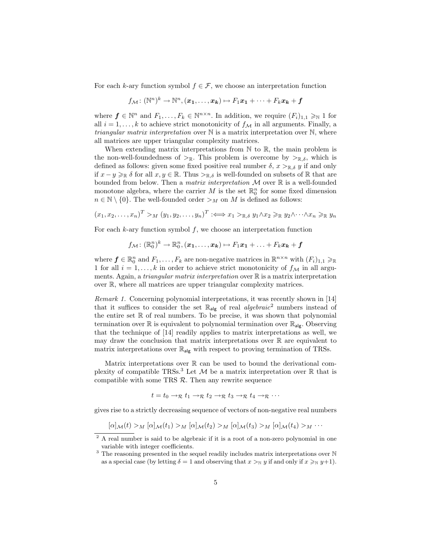For each k-ary function symbol  $f \in \mathcal{F}$ , we choose an interpretation function

$$
f_{\mathcal{M}}\colon (\mathbb{N}^n)^k \to \mathbb{N}^n, (\boldsymbol{x_1}, \dots, \boldsymbol{x_k}) \mapsto F_1 \boldsymbol{x_1} + \dots + F_k \boldsymbol{x_k} + \boldsymbol{f}
$$

where  $f \in \mathbb{N}^n$  and  $F_1, \ldots, F_k \in \mathbb{N}^{n \times n}$ . In addition, we require  $(F_i)_{1,1} \geq \mathbb{N}$  1 for all  $i = 1, \ldots, k$  to achieve strict monotonicity of  $f_{\mathcal{M}}$  in all arguments. Finally, a *triangular matrix interpretation* over  $\mathbb N$  is a matrix interpretation over  $\mathbb N$ , where all matrices are upper triangular complexity matrices.

When extending matrix interpretations from  $\mathbb N$  to  $\mathbb R$ , the main problem is the non-well-foundedness of  $\gt_R$ . This problem is overcome by  $\gt_{\mathbb{R},\delta}$ , which is defined as follows: given some fixed positive real number  $\delta$ ,  $x >_{\mathbb{R}, \delta} y$  if and only if  $x - y \geqslant_{\mathbb{R}} \delta$  for all  $x, y \in \mathbb{R}$ . Thus  $>_{\mathbb{R}, \delta}$  is well-founded on subsets of R that are bounded from below. Then a *matrix interpretation*  $M$  over  $\mathbb R$  is a well-founded monotone algebra, where the carrier  $M$  is the set  $\mathbb{R}^n_0$  for some fixed dimension  $n \in \mathbb{N} \setminus \{0\}$ . The well-founded order  $\gt_M$  on M is defined as follows:

$$
(x_1, x_2, \ldots, x_n)^T >_M (y_1, y_2, \ldots, y_n)^T \Leftrightarrow x_1 >_{\mathbb{R}, \delta} y_1 \wedge x_2 \geq_{\mathbb{R}} y_2 \wedge \cdots \wedge x_n \geq_{\mathbb{R}} y_n
$$

For each  $k$ -ary function symbol  $f$ , we choose an interpretation function

$$
f_{\mathcal{M}} \colon (\mathbb{R}^n_0)^k \to \mathbb{R}^n_0, (\boldsymbol{x_1}, \dots, \boldsymbol{x_k}) \mapsto F_1 \boldsymbol{x_1} + \ldots + F_k \boldsymbol{x_k} + \boldsymbol{f}
$$

where  $f \in \mathbb{R}_0^n$  and  $F_1, \ldots, F_k$  are non-negative matrices in  $\mathbb{R}^{n \times n}$  with  $(F_i)_{1,1} \geq \mathbb{R}$ 1 for all  $i = 1, \ldots, k$  in order to achieve strict monotonicity of  $f_{\mathcal{M}}$  in all arguments. Again, a *triangular matrix interpretation* over  $\mathbb R$  is a matrix interpretation over R, where all matrices are upper triangular complexity matrices.

Remark 1. Concerning polynomial interpretations, it was recently shown in [14] that it suffices to consider the set  $\mathbb{R}_{\text{alg}}$  of real *algebraic*<sup>[2](#page-4-0)</sup> numbers instead of the entire set  $\mathbb R$  of real numbers. To be precise, it was shown that polynomial termination over  $\mathbb R$  is equivalent to polynomial termination over  $\mathbb R_{\mathsf{alg}}$ . Observing that the technique of [14] readily applies to matrix interpretations as well, we may draw the conclusion that matrix interpretations over  $\mathbb R$  are equivalent to matrix interpretations over  $\mathbb{R}_{\text{alg}}$  with respect to proving termination of TRSs.

Matrix interpretations over  $\mathbb R$  can be used to bound the derivational com-plexity of compatible TRSs.<sup>[3](#page-4-1)</sup> Let  $\mathcal M$  be a matrix interpretation over  $\mathbb R$  that is compatible with some TRS  $R$ . Then any rewrite sequence

$$
t = t_0 \rightarrow_{\mathcal{R}} t_1 \rightarrow_{\mathcal{R}} t_2 \rightarrow_{\mathcal{R}} t_3 \rightarrow_{\mathcal{R}} t_4 \rightarrow_{\mathcal{R}} \cdots
$$

gives rise to a strictly decreasing sequence of vectors of non-negative real numbers

$$
[\alpha]_{\mathcal{M}}(t) >_{M} [\alpha]_{\mathcal{M}}(t_1) >_{M} [\alpha]_{\mathcal{M}}(t_2) >_{M} [\alpha]_{\mathcal{M}}(t_3) >_{M} [\alpha]_{\mathcal{M}}(t_4) >_{M} \cdots
$$

<span id="page-4-0"></span><sup>&</sup>lt;sup>2</sup> A real number is said to be algebraic if it is a root of a non-zero polynomial in one variable with integer coefficients.

<span id="page-4-1"></span><sup>&</sup>lt;sup>3</sup> The reasoning presented in the sequel readily includes matrix interpretations over N as a special case (by letting  $\delta = 1$  and observing that  $x >_{\mathbb{N}} y$  if and only if  $x \geq_{\mathbb{N}} y+1$ ).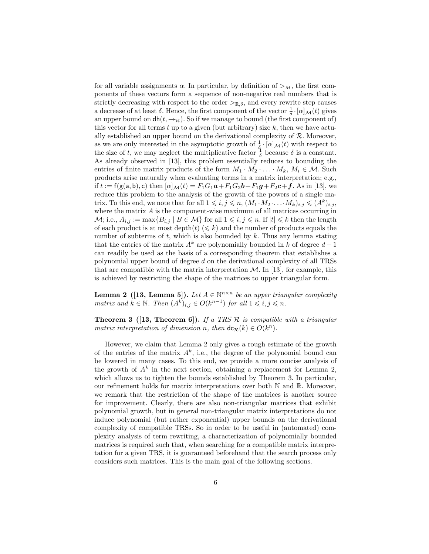for all variable assignments  $\alpha$ . In particular, by definition of  $\geq_M$ , the first components of these vectors form a sequence of non-negative real numbers that is strictly decreasing with respect to the order  $>_{\mathbb{R},\delta}$ , and every rewrite step causes a decrease of at least  $\delta$ . Hence, the first component of the vector  $\frac{1}{\delta} \cdot [\alpha]_{\mathcal{M}}(t)$  gives an upper bound on  $dh(t, \rightarrow \mathcal{R})$ . So if we manage to bound (the first component of) this vector for all terms  $t$  up to a given (but arbitrary) size  $k$ , then we have actually established an upper bound on the derivational complexity of  $\mathcal{R}$ . Moreover, as we are only interested in the asymptotic growth of  $\frac{1}{\delta} \cdot [\alpha]_{\mathcal{M}}(t)$  with respect to the size of t, we may neglect the multiplicative factor  $\frac{1}{\delta}$  because  $\delta$  is a constant. As already observed in [13], this problem essentially reduces to bounding the entries of finite matrix products of the form  $M_1 \cdot M_2 \cdot \ldots \cdot M_k$ ,  $M_i \in \mathcal{M}$ . Such products arise naturally when evaluating terms in a matrix interpretation; e.g., if  $t := f(g(a, b), c)$  then  $[\alpha]_{\mathcal{M}}(t) = F_1G_1a + F_1G_2b + F_1g + F_2c + f$ . As in [13], we reduce this problem to the analysis of the growth of the powers of a single matrix. To this end, we note that for all  $1 \leq i, j \leq n, (M_1 \cdot M_2 \cdot \ldots \cdot M_k)_{i,j} \leq (A^k)_{i,j}$ , where the matrix  $A$  is the component-wise maximum of all matrices occurring in M; i.e.,  $A_{i,j} := \max\{B_{i,j} \mid B \in \mathcal{M}\}\$  for all  $1 \leq i,j \leq n$ . If  $|t| \leq k$  then the length of each product is at most depth $(t)$   $(\leq k)$  and the number of products equals the number of subterms of  $t$ , which is also bounded by  $k$ . Thus any lemma stating that the entries of the matrix  $A^k$  are polynomially bounded in k of degree  $d-1$ can readily be used as the basis of a corresponding theorem that establishes a polynomial upper bound of degree d on the derivational complexity of all TRSs that are compatible with the matrix interpretation  $\mathcal{M}$ . In [13], for example, this is achieved by restricting the shape of the matrices to upper triangular form.

<span id="page-5-0"></span>**Lemma 2** ([13, Lemma 5]). Let  $A \in \mathbb{N}^{n \times n}$  be an upper triangular complexity matrix and  $k \in \mathbb{N}$ . Then  $(A^k)_{i,j} \in O(k^{n-1})$  for all  $1 \leq i, j \leq n$ .

<span id="page-5-1"></span>**Theorem 3 ([13, Theorem 6]).** If a TRS  $\mathcal R$  is compatible with a triangular matrix interpretation of dimension n, then  $\text{dc}_{\mathcal{R}}(k) \in O(k^n)$ .

However, we claim that Lemma [2](#page-5-0) only gives a rough estimate of the growth of the entries of the matrix  $A^k$ , i.e., the degree of the polynomial bound can be lowered in many cases. To this end, we provide a more concise analysis of the growth of  $A^k$  in the next section, obtaining a replacement for Lemma [2,](#page-5-0) which allows us to tighten the bounds established by Theorem [3.](#page-5-1) In particular, our refinement holds for matrix interpretations over both  $\mathbb N$  and  $\mathbb R$ . Moreover, we remark that the restriction of the shape of the matrices is another source for improvement. Clearly, there are also non-triangular matrices that exhibit polynomial growth, but in general non-triangular matrix interpretations do not induce polynomial (but rather exponential) upper bounds on the derivational complexity of compatible TRSs. So in order to be useful in (automated) complexity analysis of term rewriting, a characterization of polynomially bounded matrices is required such that, when searching for a compatible matrix interpretation for a given TRS, it is guaranteed beforehand that the search process only considers such matrices. This is the main goal of the following sections.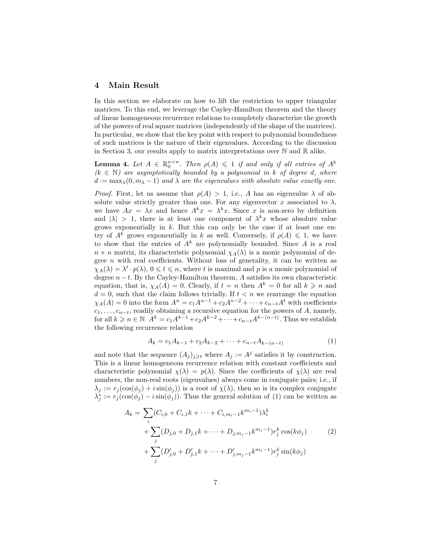#### <span id="page-6-0"></span>4 Main Result

In this section we elaborate on how to lift the restriction to upper triangular matrices. To this end, we leverage the Cayley-Hamilton theorem and the theory of linear homogeneous recurrence relations to completely characterize the growth of the powers of real square matrices (independently of the shape of the matrices). In particular, we show that the key point with respect to polynomial boundedness of such matrices is the nature of their eigenvalues. According to the discussion in Section [3,](#page-3-0) our results apply to matrix interpretations over  $\mathbb N$  and  $\mathbb R$  alike.

<span id="page-6-3"></span>**Lemma 4.** Let  $A \in \mathbb{R}^{n \times n}_{0}$ . Then  $\rho(A) \leq 1$  if and only if all entries of  $A^{k}$  $(k \in \mathbb{N})$  are asymptotically bounded by a polynomial in k of degree d, where  $d := \max_{\lambda}(0, m_{\lambda} - 1)$  and  $\lambda$  are the eigenvalues with absolute value exactly one.

*Proof.* First, let us assume that  $\rho(A) > 1$ , i.e., A has an eigenvalue  $\lambda$  of absolute value strictly greater than one. For any eigenvector x associated to  $\lambda$ , we have  $Ax = \lambda x$  and hence  $A^k x = \lambda^k x$ . Since x is non-zero by definition and  $|\lambda| > 1$ , there is at least one component of  $\lambda^k x$  whose absolute value grows exponentially in  $k$ . But this can only be the case if at least one entry of  $A^k$  grows exponentially in k as well. Conversely, if  $\rho(A) \leq 1$ , we have to show that the entries of  $A^k$  are polynomially bounded. Since A is a real  $n \times n$  matrix, its characteristic polynomial  $\chi_A(\lambda)$  is a monic polynomial of degree  $n$  with real coefficients. Without loss of generality, it can be written as  $\chi_A(\lambda) = \lambda^t \cdot p(\lambda), 0 \leqslant t \leqslant n$ , where t is maximal and p is a monic polynomial of degree  $n - t$ . By the Cayley-Hamilton theorem, A satisfies its own characteristic equation, that is,  $\chi_A(A) = 0$ . Clearly, if  $t = n$  then  $A^k = 0$  for all  $k \geq n$  and  $d = 0$ , such that the claim follows trivially. If  $t < n$  we rearrange the equation  $\chi_A(A) = 0$  into the form  $A^n = c_1 A^{n-1} + c_2 A^{n-2} + \cdots + c_{n-t} A^t$  with coefficients  $c_1, \ldots, c_{n-t}$ , readily obtaining a recursive equation for the powers of A, namely, for all  $k \geq n \in \mathbb{N}$   $A^k = c_1 A^{k-1} + c_2 A^{k-2} + \cdots + c_{n-t} A^{k-(n-t)}$ . Thus we establish the following recurrence relation

<span id="page-6-2"></span><span id="page-6-1"></span>
$$
A_k = c_1 A_{k-1} + c_2 A_{k-2} + \dots + c_{n-t} A_{k-(n-t)}
$$
\n<sup>(1)</sup>

and note that the sequence  $(A_j)_{j\geq t}$  where  $A_j := A^j$  satisfies it by construction. This is a linear homogeneous recurrence relation with constant coefficients and characteristic polynomial  $\chi(\lambda) = p(\lambda)$ . Since the coefficients of  $\chi(\lambda)$  are real numbers, the non-real roots (eigenvalues) always come in conjugate pairs; i.e., if  $\lambda_j := r_j(\cos(\phi_j) + i\sin(\phi_j))$  is a root of  $\chi(\lambda)$ , then so is its complex conjugate  $\lambda_j^* := r_j(\cos(\phi_j) - i\sin(\phi_j)).$  Thus the general solution of [\(1\)](#page-6-1) can be written as

$$
A_k = \sum_{i} (C_{i,0} + C_{i,1}k + \dots + C_{i,m_i-1}k^{m_i-1})\lambda_i^k
$$
  
+ 
$$
\sum_{j} (D_{j,0} + D_{j,1}k + \dots + D_{j,m_j-1}k^{m_j-1})r_j^k \cos(k\phi_j)
$$
  
+ 
$$
\sum_{j} (D'_{j,0} + D'_{j,1}k + \dots + D'_{j,m_j-1}k^{m_j-1})r_j^k \sin(k\phi_j)
$$
 (2)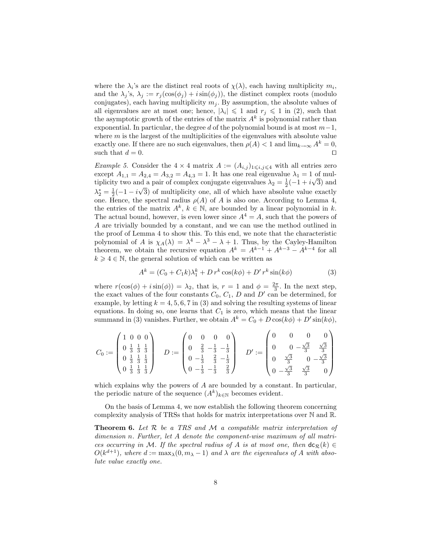where the  $\lambda_i$ 's are the distinct real roots of  $\chi(\lambda)$ , each having multiplicity  $m_i$ , and the  $\lambda_j$ 's,  $\lambda_j := r_j(\cos(\phi_j) + i\sin(\phi_j))$ , the distinct complex roots (modulo conjugates), each having multiplicity  $m_j$ . By assumption, the absolute values of all eigenvalues are at most one; hence,  $|\lambda_i| \leq 1$  and  $r_j \leq 1$  in [\(2\)](#page-6-2), such that the asymptotic growth of the entries of the matrix  $A<sup>k</sup>$  is polynomial rather than exponential. In particular, the degree d of the polynomial bound is at most  $m-1$ , where  $m$  is the largest of the multiplicities of the eigenvalues with absolute value exactly one. If there are no such eigenvalues, then  $\rho(A) < 1$  and  $\lim_{k \to \infty} A^k = 0$ , such that  $d = 0$ .

Example 5. Consider the  $4 \times 4$  matrix  $A := (A_{i,j})_{1 \leq i,j \leq 4}$  with all entries zero except  $A_{1,1} = A_{2,4} = A_{3,2} = A_{4,3} = 1$ . It has one real eigenvalue  $\lambda_1 = 1$  of multiplicity two and a pair of complex conjugate eigenvalues  $\lambda_2 = \frac{1}{2}(-1 + i\sqrt{3})$  and  $\lambda_2^* = \frac{1}{2}(-1 - i\sqrt{3})$  of multiplicity one, all of which have absolute value exactly one. Hence, the spectral radius  $\rho(A)$  of A is also one. According to Lemma [4,](#page-6-3) the entries of the matrix  $A^k$ ,  $k \in \mathbb{N}$ , are bounded by a linear polynomial in k. The actual bound, however, is even lower since  $A^4 = A$ , such that the powers of A are trivially bounded by a constant, and we can use the method outlined in the proof of Lemma [4](#page-6-3) to show this. To this end, we note that the characteristic polynomial of A is  $\chi_A(\lambda) = \lambda^4 - \lambda^3 - \lambda + 1$ . Thus, by the Cayley-Hamilton theorem, we obtain the recursive equation  $A^k = A^{k-1} + A^{k-3} - A^{k-4}$  for all  $k \geq 4 \in \mathbb{N}$ , the general solution of which can be written as

<span id="page-7-0"></span>
$$
A^{k} = (C_0 + C_1 k)\lambda_1^{k} + D r^{k} \cos(k\phi) + D' r^{k} \sin(k\phi)
$$
 (3)

where  $r(\cos(\phi) + i\sin(\phi)) = \lambda_2$ , that is,  $r = 1$  and  $\phi = \frac{2\pi}{3}$ . In the next step, the exact values of the four constants  $C_0$ ,  $C_1$ ,  $D$  and  $D'$  can be determined, for example, by letting  $k = 4, 5, 6, 7$  in [\(3\)](#page-7-0) and solving the resulting systems of linear equations. In doing so, one learns that  $C_1$  is zero, which means that the linear summand in [\(3\)](#page-7-0) vanishes. Further, we obtain  $A^k = C_0 + D \cos(k\phi) + D' \sin(k\phi)$ ,

$$
C_0 := \begin{pmatrix} 1 & 0 & 0 & 0 \\ 0 & \frac{1}{3} & \frac{1}{3} & \frac{1}{3} \\ 0 & \frac{1}{3} & \frac{1}{3} & \frac{1}{3} \\ 0 & \frac{1}{3} & \frac{1}{3} & \frac{1}{3} \end{pmatrix} \quad D := \begin{pmatrix} 0 & 0 & 0 & 0 \\ 0 & \frac{2}{3} & -\frac{1}{3} & -\frac{1}{3} \\ 0 & -\frac{1}{3} & \frac{2}{3} & -\frac{1}{3} \\ 0 & -\frac{1}{3} & -\frac{1}{3} & \frac{2}{3} \end{pmatrix} \quad D' := \begin{pmatrix} 0 & 0 & 0 & 0 \\ 0 & 0 & -\frac{\sqrt{3}}{3} & \frac{\sqrt{3}}{3} \\ 0 & \frac{\sqrt{3}}{3} & 0 & -\frac{\sqrt{3}}{3} \\ 0 & -\frac{\sqrt{3}}{3} & \frac{\sqrt{3}}{3} & 0 \end{pmatrix}
$$

which explains why the powers of A are bounded by a constant. In particular, the periodic nature of the sequence  $(A^k)_{k \in \mathbb{N}}$  becomes evident.

On the basis of Lemma [4,](#page-6-3) we now establish the following theorem concerning complexity analysis of TRSs that holds for matrix interpretations over N and R.

<span id="page-7-1"></span>**Theorem 6.** Let  $\mathcal{R}$  be a TRS and  $\mathcal{M}$  a compatible matrix interpretation of dimension n. Further, let A denote the component-wise maximum of all matrices occurring in M. If the spectral radius of A is at most one, then  $d c_R(k) \in$  $O(k^{d+1})$ , where  $d := \max_{\lambda}(0, m_{\lambda} - 1)$  and  $\lambda$  are the eigenvalues of A with absolute value exactly one.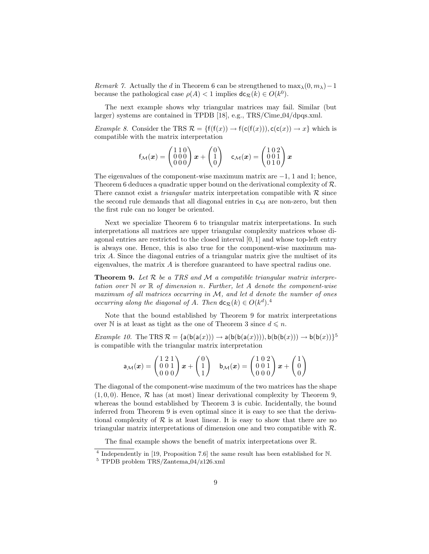Remark 7. Actually the d in Theorem [6](#page-7-1) can be strengthened to  $\max_{\lambda}(0, m_{\lambda}) - 1$ because the pathological case  $\rho(A) < 1$  implies  $\textsf{dc}_{\mathcal{R}}(k) \in O(k^0)$ .

The next example shows why triangular matrices may fail. Similar (but larger) systems are contained in TPDB [18], e.g., TRS/Cime 04/dpqs.xml.

Example 8. Consider the TRS  $\mathcal{R} = \{f(f(x)) \to f(c(f(x))), c(c(x)) \to x\}$  which is compatible with the matrix interpretation

$$
f_{\mathcal{M}}(x) = \begin{pmatrix} 1 & 1 & 0 \\ 0 & 0 & 0 \\ 0 & 0 & 0 \end{pmatrix} x + \begin{pmatrix} 0 \\ 1 \\ 0 \end{pmatrix} \quad c_{\mathcal{M}}(x) = \begin{pmatrix} 1 & 0 & 2 \\ 0 & 0 & 1 \\ 0 & 1 & 0 \end{pmatrix} x
$$

The eigenvalues of the component-wise maximum matrix are  $-1$ , 1 and 1; hence, Theorem [6](#page-7-1) deduces a quadratic upper bound on the derivational complexity of R. There cannot exist a *triangular* matrix interpretation compatible with  $R$  since the second rule demands that all diagonal entries in  $c_M$  are non-zero, but then the first rule can no longer be oriented.

Next we specialize Theorem [6](#page-7-1) to triangular matrix interpretations. In such interpretations all matrices are upper triangular complexity matrices whose diagonal entries are restricted to the closed interval  $[0, 1]$  and whose top-left entry is always one. Hence, this is also true for the component-wise maximum matrix A. Since the diagonal entries of a triangular matrix give the multiset of its eigenvalues, the matrix  $A$  is therefore guaranteed to have spectral radius one.

<span id="page-8-1"></span>**Theorem 9.** Let  $R$  be a TRS and  $M$  a compatible triangular matrix interpretation over  $\mathbb N$  or  $\mathbb R$  of dimension n. Further, let A denote the component-wise maximum of all matrices occurring in  $M$ , and let  $d$  denote the number of ones occurring along the diagonal of A. Then  $\text{dc}_{\mathcal{R}}(k) \in O(k^d)$ .<sup>[4](#page-8-0)</sup>

Note that the bound established by Theorem [9](#page-8-1) for matrix interpretations over N is at least as tight as the one of Theorem [3](#page-5-1) since  $d \leq n$ .

Example 10. The TRS  $\mathcal{R} = \{a(b(a(x))) \rightarrow a(b(b(a(x))))$ ,  $b(b(b(x))) \rightarrow b(b(x))\}^5$  $b(b(b(x))) \rightarrow b(b(x))\}^5$ is compatible with the triangular matrix interpretation

$$
\mathsf{a}_{\mathcal{M}}(x) = \begin{pmatrix} 1 & 2 & 1 \\ 0 & 0 & 1 \\ 0 & 0 & 0 \end{pmatrix} x + \begin{pmatrix} 0 \\ 1 \\ 1 \end{pmatrix} \quad \mathsf{b}_{\mathcal{M}}(x) = \begin{pmatrix} 1 & 0 & 2 \\ 0 & 0 & 1 \\ 0 & 0 & 0 \end{pmatrix} x + \begin{pmatrix} 1 \\ 0 \\ 0 \end{pmatrix}
$$

The diagonal of the component-wise maximum of the two matrices has the shape  $(1, 0, 0)$ . Hence,  $\mathcal R$  has (at most) linear derivational complexity by Theorem [9,](#page-8-1) whereas the bound established by Theorem [3](#page-5-1) is cubic. Incidentally, the bound inferred from Theorem [9](#page-8-1) is even optimal since it is easy to see that the derivational complexity of  $R$  is at least linear. It is easy to show that there are no triangular matrix interpretations of dimension one and two compatible with R.

The final example shows the benefit of matrix interpretations over R.

<span id="page-8-0"></span><sup>&</sup>lt;sup>4</sup> Independently in [19, Proposition 7.6] the same result has been established for N.

<span id="page-8-2"></span><sup>5</sup> TPDB problem TRS/Zantema 04/z126.xml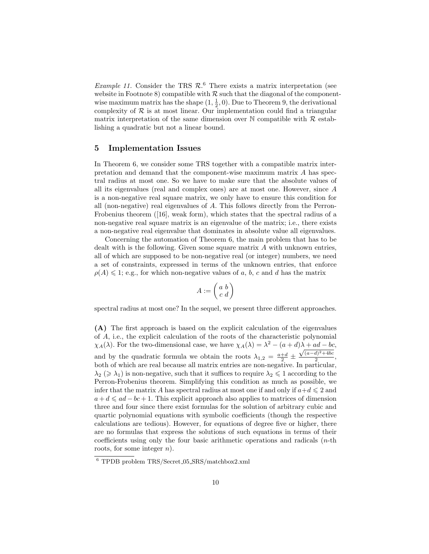*Example 11.* Consider the TRS  $\mathcal{R}$ .<sup>[6](#page-9-1)</sup> There exists a matrix interpretation (see website in Footnote [8\)](#page-12-1) compatible with  $R$  such that the diagonal of the componentwise maximum matrix has the shape  $(1, \frac{1}{2}, 0)$ . Due to Theorem [9,](#page-8-1) the derivational complexity of  $R$  is at most linear. Our implementation could find a triangular matrix interpretation of the same dimension over  $\mathbb N$  compatible with  $\mathcal R$  establishing a quadratic but not a linear bound.

#### <span id="page-9-0"></span>5 Implementation Issues

In Theorem [6,](#page-7-1) we consider some TRS together with a compatible matrix interpretation and demand that the component-wise maximum matrix A has spectral radius at most one. So we have to make sure that the absolute values of all its eigenvalues (real and complex ones) are at most one. However, since A is a non-negative real square matrix, we only have to ensure this condition for all (non-negative) real eigenvalues of A. This follows directly from the Perron-Frobenius theorem ([16], weak form), which states that the spectral radius of a non-negative real square matrix is an eigenvalue of the matrix; i.e., there exists a non-negative real eigenvalue that dominates in absolute value all eigenvalues.

Concerning the automation of Theorem [6,](#page-7-1) the main problem that has to be dealt with is the following. Given some square matrix A with unknown entries, all of which are supposed to be non-negative real (or integer) numbers, we need a set of constraints, expressed in terms of the unknown entries, that enforce  $\rho(A) \leq 1$ ; e.g., for which non-negative values of a, b, c and d has the matrix

$$
A:=\left(\begin{matrix} a & b \\ c & d \end{matrix}\right)
$$

spectral radius at most one? In the sequel, we present three different approaches.

(A) The first approach is based on the explicit calculation of the eigenvalues of A, i.e., the explicit calculation of the roots of the characteristic polynomial  $\chi_A(\lambda)$ . For the two-dimensional case, we have  $\chi_A(\lambda) = \lambda^2 - (a+d)\lambda + ad - bc$ , and by the quadratic formula we obtain the roots  $\lambda_{1,2} = \frac{a+d}{2} \pm \frac{\sqrt{(a-d)^2 + 4bc}}{2}$  $\frac{a_1+4ac}{2},$ both of which are real because all matrix entries are non-negative. In particular,  $\lambda_2 \gg \lambda_1$ ) is non-negative, such that it suffices to require  $\lambda_2 \leq 1$  according to the Perron-Frobenius theorem. Simplifying this condition as much as possible, we infer that the matrix A has spectral radius at most one if and only if  $a+d \leq 2$  and  $a + d \leq d - bc + 1$ . This explicit approach also applies to matrices of dimension three and four since there exist formulas for the solution of arbitrary cubic and quartic polynomial equations with symbolic coefficients (though the respective calculations are tedious). However, for equations of degree five or higher, there are no formulas that express the solutions of such equations in terms of their coefficients using only the four basic arithmetic operations and radicals  $(n-th)$ roots, for some integer  $n$ ).

<span id="page-9-1"></span><sup>6</sup> TPDB problem TRS/Secret 05 SRS/matchbox2.xml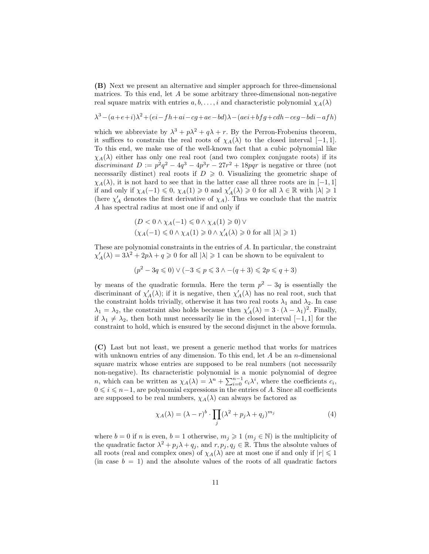(B) Next we present an alternative and simpler approach for three-dimensional matrices. To this end, let  $A$  be some arbitrary three-dimensional non-negative real square matrix with entries  $a, b, \ldots, i$  and characteristic polynomial  $\chi_A(\lambda)$ 

$$
\lambda^3 - (a + e + i)\lambda^2 + (ei - fh + ai - cg + ae - bd)\lambda - (aei + bfg + cdh - ceg - bdi - afh)
$$

which we abbreviate by  $\lambda^3 + p\lambda^2 + q\lambda + r$ . By the Perron-Frobenius theorem, it suffices to constrain the real roots of  $\chi_A(\lambda)$  to the closed interval [−1, 1]. To this end, we make use of the well-known fact that a cubic polynomial like  $\chi_A(\lambda)$  either has only one real root (and two complex conjugate roots) if its discriminant  $D := p^2q^2 - 4q^3 - 4p^3r - 27r^2 + 18pqr$  is negative or three (not necessarily distinct) real roots if  $D \geq 0$ . Visualizing the geometric shape of  $\chi_A(\lambda)$ , it is not hard to see that in the latter case all three roots are in [−1, 1] if and only if  $\chi_A(-1) \leq 0$ ,  $\chi_A(1) \geq 0$  and  $\chi'_A(\lambda) \geq 0$  for all  $\lambda \in \mathbb{R}$  with  $|\lambda| \geq 1$ (here  $\chi'_A$  denotes the first derivative of  $\chi_A$ ). Thus we conclude that the matrix A has spectral radius at most one if and only if

$$
\begin{aligned} &(D<0\wedge \chi_A(-1)\leqslant 0\wedge \chi_A(1)\geqslant 0)\vee\\ &(\chi_A(-1)\leqslant 0\wedge \chi_A(1)\geqslant 0\wedge \chi_A'(\lambda)\geqslant 0\text{ for all }|\lambda|\geqslant 1)\end{aligned}
$$

These are polynomial constraints in the entries of A. In particular, the constraint  $\chi'_A(\lambda) = 3\lambda^2 + 2p\lambda + q \geq 0$  for all  $|\lambda| \geq 1$  can be shown to be equivalent to

$$
(p^2 - 3q \le 0) \lor (-3 \le p \le 3 \land -(q+3) \le 2p \le q+3)
$$

by means of the quadratic formula. Here the term  $p^2 - 3q$  is essentially the discriminant of  $\chi'_A(\lambda)$ ; if it is negative, then  $\chi'_A(\lambda)$  has no real root, such that the constraint holds trivially, otherwise it has two real roots  $\lambda_1$  and  $\lambda_2$ . In case  $\lambda_1 = \lambda_2$ , the constraint also holds because then  $\chi'_A(\lambda) = 3 \cdot (\lambda - \lambda_1)^2$ . Finally, if  $\lambda_1 \neq \lambda_2$ , then both must necessarily lie in the closed interval [−1, 1] for the constraint to hold, which is ensured by the second disjunct in the above formula.

(C) Last but not least, we present a generic method that works for matrices with unknown entries of any dimension. To this end, let  $A$  be an n-dimensional square matrix whose entries are supposed to be real numbers (not necessarily non-negative). Its characteristic polynomial is a monic polynomial of degree *n*, which can be written as  $\chi_A(\lambda) = \lambda^n + \sum_{i=0}^{n-1} c_i \lambda^i$ , where the coefficients  $c_i$ ,  $0 \leq i \leq n-1$ , are polynomial expressions in the entries of A. Since all coefficients are supposed to be real numbers,  $\chi_A(\lambda)$  can always be factored as

<span id="page-10-0"></span>
$$
\chi_A(\lambda) = (\lambda - r)^b \cdot \prod_j (\lambda^2 + p_j \lambda + q_j)^{m_j} \tag{4}
$$

where  $b = 0$  if n is even,  $b = 1$  otherwise,  $m_j \geq 1$   $(m_j \in \mathbb{N})$  is the multiplicity of the quadratic factor  $\lambda^2 + p_j \lambda + q_j$ , and  $r, p_j, q_j \in \mathbb{R}$ . Thus the absolute values of all roots (real and complex ones) of  $\chi_A(\lambda)$  are at most one if and only if  $|r| \leq 1$ (in case  $b = 1$ ) and the absolute values of the roots of all quadratic factors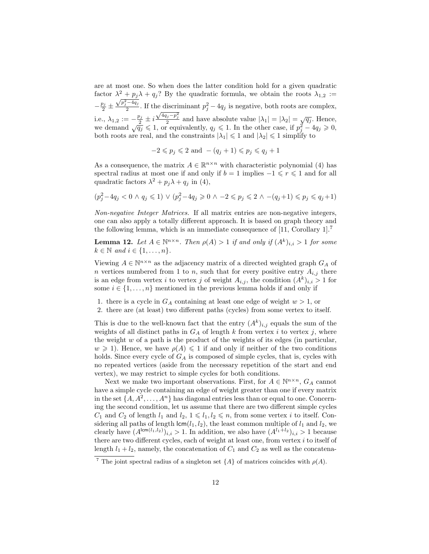are at most one. So when does the latter condition hold for a given quadratic factor  $\lambda^2 + p_j \lambda + q_j$ ? By the quadratic formula, we obtain the roots  $\lambda_{1,2}$  :=  $-\frac{p_j}{2}$  ±  $\frac{\lambda + p_j}{\sqrt{p_j^2-4q_j}}$  $\frac{1-aq_j}{2}$ . If the discriminant  $p_j^2-4q_j$  is negative, both roots are complex, i.e.,  $\lambda_{1,2} := -\frac{p_j}{2} \pm i$  $\frac{\sqrt{4q_j-p_j^2}}{2}$  and have absolute value  $|\lambda_1| = |\lambda_2| = \sqrt{q_j}$ . Hence, we demand  $\sqrt{q_j} \leq 1$ , or equivalently,  $q_j \leq 1$ . In the other case, if  $p_j^2 - 4q_j \geq 0$ , both roots are real, and the constraints  $|\lambda_1| \leq 1$  and  $|\lambda_2| \leq 1$  simplify to

<span id="page-11-3"></span>
$$
-2 \leqslant p_j \leqslant 2 \text{ and } -(q_j + 1) \leqslant p_j \leqslant q_j + 1
$$

As a consequence, the matrix  $A \in \mathbb{R}^{n \times n}$  with characteristic polynomial [\(4\)](#page-10-0) has spectral radius at most one if and only if  $b = 1$  implies  $-1 \le r \le 1$  and for all quadratic factors  $\lambda^2 + p_j \lambda + q_j$  in [\(4\)](#page-10-0),

$$
(p_j^2 - 4q_j < 0 \land q_j \leq 1) \lor (p_j^2 - 4q_j \geq 0 \land -2 \leq p_j \leq 2 \land -(q_j + 1) \leq p_j \leq q_j + 1)
$$

Non-negative Integer Matrices. If all matrix entries are non-negative integers, one can also apply a totally different approach. It is based on graph theory and the following lemma, which is an immediate consequence of  $[11,$  Corollary  $1$ <sup>[7](#page-11-0)</sup>.

**Lemma 12.** Let  $A \in \mathbb{N}^{n \times n}$ . Then  $\rho(A) > 1$  if and only if  $(A^k)_{i,i} > 1$  for some  $k \in \mathbb{N}$  and  $i \in \{1, \ldots, n\}.$ 

Viewing  $A \in \mathbb{N}^{n \times n}$  as the adjacency matrix of a directed weighted graph  $G_A$  of n vertices numbered from 1 to n, such that for every positive entry  $A_{i,j}$  there is an edge from vertex i to vertex j of weight  $A_{i,j}$ , the condition  $(A^k)_{i,i} > 1$  for some  $i \in \{1, \ldots, n\}$  mentioned in the previous lemma holds if and only if

<span id="page-11-2"></span>1. there is a cycle in  $G_A$  containing at least one edge of weight  $w > 1$ , or

<span id="page-11-1"></span>2. there are (at least) two different paths (cycles) from some vertex to itself.

This is due to the well-known fact that the entry  $(A^k)_{i,j}$  equals the sum of the weights of all distinct paths in  $G_A$  of length k from vertex i to vertex j, where the weight  $w$  of a path is the product of the weights of its edges (in particular,  $w \geq 1$ . Hence, we have  $\rho(A) \leq 1$  if and only if neither of the two conditions holds. Since every cycle of  $G_A$  is composed of simple cycles, that is, cycles with no repeated vertices (aside from the necessary repetition of the start and end vertex), we may restrict to simple cycles for both conditions.

Next we make two important observations. First, for  $A \in \mathbb{N}^{n \times n}$ ,  $G_A$  cannot have a simple cycle containing an edge of weight greater than one if every matrix in the set  $\{A, A^2, \ldots, A^n\}$  has diagonal entries less than or equal to one. Concerning the second condition, let us assume that there are two different simple cycles  $C_1$  and  $C_2$  of length  $l_1$  and  $l_2$ ,  $1 \leq l_1, l_2 \leq n$ , from some vertex i to itself. Considering all paths of length  $lcm(l_1, l_2)$ , the least common multiple of  $l_1$  and  $l_2$ , we clearly have  $(A^{\mathsf{lcm}(l_1,l_2)})_{i,i} > 1$ . In addition, we also have  $(A^{l_1+l_2})_{i,i} > 1$  because there are two different cycles, each of weight at least one, from vertex  $i$  to itself of length  $l_1 + l_2$ , namely, the concatenation of  $C_1$  and  $C_2$  as well as the concatena-

<span id="page-11-0"></span><sup>&</sup>lt;sup>7</sup> The joint spectral radius of a singleton set  $\{A\}$  of matrices coincides with  $\rho(A)$ .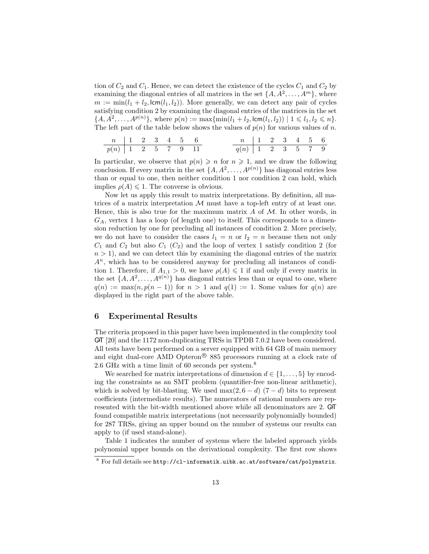tion of  $C_2$  and  $C_1$ . Hence, we can detect the existence of the cycles  $C_1$  and  $C_2$  by examining the diagonal entries of all matrices in the set  $\{A, A^2, \ldots, A^m\}$ , where  $m := \min(l_1 + l_2, \text{lcm}(l_1, l_2)).$  More generally, we can detect any pair of cycles satisfying condition [2](#page-11-1) by examining the diagonal entries of the matrices in the set  ${A, A<sup>2</sup>, ..., A<sup>p(n)</sup>},$  where  $p(n) := max{min(l<sub>1</sub> + l<sub>2</sub>, lcm(l<sub>1</sub>, l<sub>2</sub>)) | 1 \le l<sub>1</sub>, l<sub>2</sub> \le n}.$ The left part of the table below shows the values of  $p(n)$  for various values of n.

| $n \mid 1 \quad 2 \quad 3 \quad 4 \quad 5 \quad 6$ |  |  |  |                                    | $n \mid 1 \quad 2 \quad 3 \quad 4 \quad 5 \quad 6$ |  |  |  |
|----------------------------------------------------|--|--|--|------------------------------------|----------------------------------------------------|--|--|--|
| $p(n)$   1   2   5   7   9   11                    |  |  |  | $q(n)$   1   2   3   5   5   7   9 |                                                    |  |  |  |

In particular, we observe that  $p(n) \geq n$  for  $n \geq 1$ , and we draw the following conclusion. If every matrix in the set  $\{A, A^2, \ldots, A^{p(n)}\}$  has diagonal entries less than or equal to one, then neither condition [1](#page-11-2) nor condition [2](#page-11-1) can hold, which implies  $\rho(A) \leq 1$ . The converse is obvious.

Now let us apply this result to matrix interpretations. By definition, all matrices of a matrix interpretation  $M$  must have a top-left entry of at least one. Hence, this is also true for the maximum matrix  $\tilde{A}$  of  $\mathcal{M}$ . In other words, in  $G_A$ , vertex 1 has a loop (of length one) to itself. This corresponds to a dimension reduction by one for precluding all instances of condition [2.](#page-11-1) More precisely, we do not have to consider the cases  $l_1 = n$  or  $l_2 = n$  because then not only  $C_1$  and  $C_2$  but also  $C_1$   $(C_2)$  and the loop of vertex 1 satisfy condition [2](#page-11-1) (for  $n > 1$ , and we can detect this by examining the diagonal entries of the matrix  $A<sup>n</sup>$ , which has to be considered anyway for precluding all instances of condi-tion [1.](#page-11-2) Therefore, if  $A_{1,1} > 0$ , we have  $\rho(A) \leq 1$  if and only if every matrix in the set  $\{A, A^2, \ldots, A^{q(n)}\}$  has diagonal entries less than or equal to one, where  $q(n) := \max(n, p(n-1))$  for  $n > 1$  and  $q(1) := 1$ . Some values for  $q(n)$  are displayed in the right part of the above table.

## <span id="page-12-0"></span>6 Experimental Results

The criteria proposed in this paper have been implemented in the complexity tool CaT [20] and the 1172 non-duplicating TRSs in TPDB 7.0.2 have been considered. All tests have been performed on a server equipped with 64 GB of main memory and eight dual-core AMD Opteron<sup>®</sup> 885 processors running at a clock rate of 2.6 GHz with a time limit of 60 seconds per system.[8](#page-12-1)

We searched for matrix interpretations of dimension  $d \in \{1, \ldots, 5\}$  by encoding the constraints as an SMT problem (quantifier-free non-linear arithmetic), which is solved by bit-blasting. We used max $(2, 6 - d)$  (7 − d) bits to represent coefficients (intermediate results). The numerators of rational numbers are represented with the bit-width mentioned above while all denominators are 2.  $\mathbb{G}$ T found compatible matrix interpretations (not necessarily polynomially bounded) for 287 TRSs, giving an upper bound on the number of systems our results can apply to (if used stand-alone).

Table [1](#page-13-1) indicates the number of systems where the labeled approach yields polynomial upper bounds on the derivational complexity. The first row shows

<span id="page-12-1"></span><sup>8</sup> For full details see <http://cl-informatik.uibk.ac.at/software/cat/polymatrix>.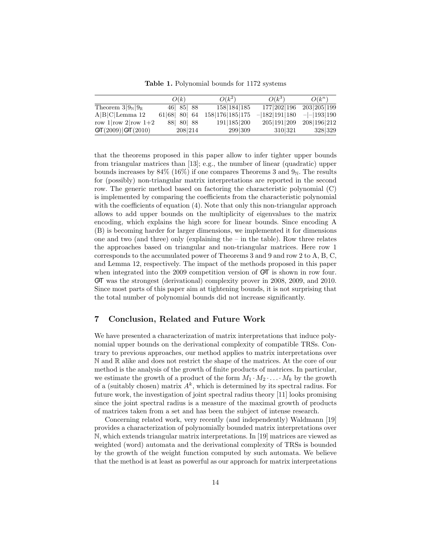<span id="page-13-1"></span>Table 1. Polynomial bounds for 1172 systems

|                                           | O(k)        | $O(k^2)$        | $O(k^3)$        | $O(k^n)$      |
|-------------------------------------------|-------------|-----------------|-----------------|---------------|
| Theorem $3 9_{\mathbb{N}} 9_{\mathbb{R}}$ | 46 85 88    | 158 184 185     | 177   202   196 | 203 205 199   |
| $A B C $ Lemma 12                         | 61 68 80 64 | 158 176 185 175 | $-182 191 180$  | $- - 193 190$ |
| row $1$ row $2$ row $1+2$                 | 88 80 88    | 191 185 200     | 205 191 209     | 208 196 212   |
| $GT(2009)$ $GT(2010)$                     | 208 214     | 299 309         | 310 321         | 328 329       |

that the theorems proposed in this paper allow to infer tighter upper bounds from triangular matrices than [13]; e.g., the number of linear (quadratic) upper bounds increases by 84% (16%) if one compares Theorems [3](#page-5-1) and  $9<sub>N</sub>$ . The results for (possibly) non-triangular matrix interpretations are reported in the second row. The generic method based on factoring the characteristic polynomial (C) is implemented by comparing the coefficients from the characteristic polynomial with the coefficients of equation [\(4\)](#page-10-0). Note that only this non-triangular approach allows to add upper bounds on the multiplicity of eigenvalues to the matrix encoding, which explains the high score for linear bounds. Since encoding A (B) is becoming harder for larger dimensions, we implemented it for dimensions one and two (and three) only (explaining the – in the table). Row three relates the approaches based on triangular and non-triangular matrices. Here row 1 corresponds to the accumulated power of Theorems [3](#page-5-1) and [9](#page-8-1) and row 2 to A, B, C, and Lemma [12,](#page-11-3) respectively. The impact of the methods proposed in this paper when integrated into the  $2009$  competition version of  $\overline{GT}$  is shown in row four. CaT was the strongest (derivational) complexity prover in 2008, 2009, and 2010. Since most parts of this paper aim at tightening bounds, it is not surprising that the total number of polynomial bounds did not increase significantly.

# <span id="page-13-0"></span>7 Conclusion, Related and Future Work

We have presented a characterization of matrix interpretations that induce polynomial upper bounds on the derivational complexity of compatible TRSs. Contrary to previous approaches, our method applies to matrix interpretations over N and R alike and does not restrict the shape of the matrices. At the core of our method is the analysis of the growth of finite products of matrices. In particular, we estimate the growth of a product of the form  $M_1 \cdot M_2 \cdot \ldots \cdot M_k$  by the growth of a (suitably chosen) matrix  $A^k$ , which is determined by its spectral radius. For future work, the investigation of joint spectral radius theory [11] looks promising since the joint spectral radius is a measure of the maximal growth of products of matrices taken from a set and has been the subject of intense research.

Concerning related work, very recently (and independently) Waldmann [19] provides a characterization of polynomially bounded matrix interpretations over N, which extends triangular matrix interpretations. In [19] matrices are viewed as weighted (word) automata and the derivational complexity of TRSs is bounded by the growth of the weight function computed by such automata. We believe that the method is at least as powerful as our approach for matrix interpretations